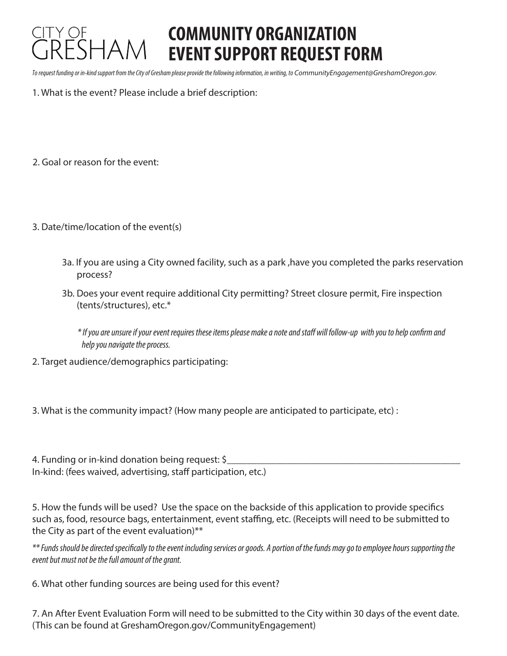## **COMMUNITY ORGANIZATION EVENT SUPPORT REQUEST FORM**

*To request funding or in-kind support from the City of Gresham please provide the following information, in writing, to* CommunityEngagement@GreshamOregon.gov*.* 

- 1. What is the event? Please include a brief description:
- 2. Goal or reason for the event:
- 3. Date/time/location of the event(s)
	- 3a. If you are using a City owned facility, such as a park ,have you completed the parks reservation process?
	- 3b. Does your event require additional City permitting? Street closure permit, Fire inspection (tents/structures), etc.\*

*\* If you are unsure if your event requires these items please make a note and sta will follow-up with you to help conrm and help you navigate the process.* 

- 2. Target audience/demographics participating:
- 3. What is the community impact? (How many people are anticipated to participate, etc) :

4. Funding or in-kind donation being request: \$ In-kind: (fees waived, advertising, staff participation, etc.)

5. How the funds will be used? Use the space on the backside of this application to provide specifics such as, food, resource bags, entertainment, event staffing, etc. (Receipts will need to be submitted to the City as part of the event evaluation)\*\*

*\*\* Funds should be directed specically to the event including services or goods. A portion of the funds may go to employee hours supporting the event but must not be the full amount of the grant.*

6. What other funding sources are being used for this event?

7. An After Event Evaluation Form will need to be submitted to the City within 30 days of the event date. (This can be found at GreshamOregon.gov/CommunityEngagement)